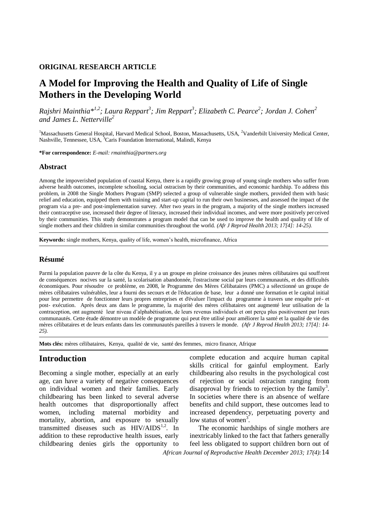## **ORIGINAL RESEARCH ARTICLE**

# **A Model for Improving the Health and Quality of Life of Single Mothers in the Developing World**

*Rajshri Mainthia\*1,2; Laura Reppart<sup>3</sup> ; Jim Reppart<sup>3</sup> ; Elizabeth C. Pearce<sup>2</sup> ; Jordan J. Cohen<sup>2</sup> and James L. Netterville<sup>2</sup>*

<sup>1</sup>Massachusetts General Hospital, Harvard Medical School, Boston, Massachusetts, USA, <sup>2</sup>Vanderbilt University Medical Center, Nashville, Tennessee, USA, <sup>3</sup>Caris Foundation International, Malindi, Kenya

**\*For correspondence:** *E-mail: rmainthia@partners.org*

#### **Abstract**

Among the impoverished population of coastal Kenya, there is a rapidly growing group of young single mothers who suffer from adverse health outcomes, incomplete schooling, social ostracism by their communities, and economic hardship. To address this problem, in 2008 the Single Mothers Program (SMP) selected a group of vulnerable single mothers, provided them with basic relief and education, equipped them with training and start-up capital to run their own businesses, and assessed the impact of the program via a pre- and post-implementation survey. After two years in the program, a majority of the single mothers increased their contraceptive use, increased their degree of literacy, increased their individual incomes, and were more positively per ceived by their communities. This study demonstrates a program model that can be used to improve the health and quality of life of single mothers and their children in similar communities throughout the world. *(Afr J Reprod Health 2013; 17[4]: 14-25).*

**Keywords:** single mothers, Kenya, quality of life, women's health, microfinance, Africa

#### **Résumé**

Parmi la population pauvre de la côte du Kenya, il y a un groupe en pleine croissance des jeunes mères célibataires qui souffrent de conséquences nocives sur la santé, la scolarisation abandonnée, l'ostracisme social par leurs communautés, et des difficultés économiques. Pour résoudre ce problème, en 2008, le Programme des Mères Célibataires (PMC) a sélectionné un groupe de mères célibataires vulnérables, leur a fourni des secours et de l'éducation de base, leur a donné une formation et le capital initial pour leur permettre de fonctionner leurs propres entreprises et d'évaluer l'impact du programme à travers une enquête pré- et post- exécution. Après deux ans dans le programme, la majorité des mères célibataires ont augmenté leur utilisation de la contraception, ont augmenté leur niveau d'alphabétisation, de leurs revenus individuels et ont percu plus positivement par leurs communautés. Cette étude démontre un modèle de programme qui peut être utilisé pour améliorer la santé et la qualité de vie des mères célibataires et de leurs enfants dans les communautés pareilles à travers le monde. *(Afr J Reprod Health 2013; 17[4]: 14- 25).*

**Mots clés:** mères célibataires, Kenya, qualité de vie, santé des femmes, micro finance, Afrique

# **Introduction**

Becoming a single mother, especially at an early age, can have a variety of negative consequences on individual women and their families. Early childbearing has been linked to several adverse health outcomes that disproportionally affect women, including maternal morbidity and mortality, abortion, and exposure to sexually transmitted diseases such as  $HIV/ALDS<sup>1,2</sup>$ . In addition to these reproductive health issues, early childbearing denies girls the opportunity to

complete education and acquire human capital skills critical for gainful employment. Early childbearing also results in the psychological cost of rejection or social ostracism ranging from disapproval by friends to rejection by the family<sup>3</sup>. In societies where there is an absence of welfare benefits and child support, these outcomes lead to increased dependency, perpetuating poverty and low status of women<sup>3</sup>.

*African Journal of Reproductive Health December 2013; 17(4):*14 The economic hardships of single mothers are inextricably linked to the fact that fathers generally feel less obligated to support children born out of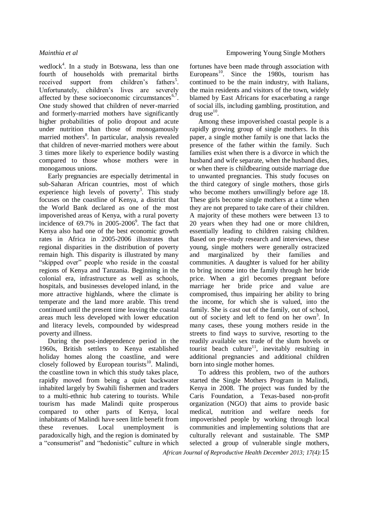wedlock<sup>4</sup>. In a study in Botswana, less than one fourth of households with premarital births received support from children's fathers<sup>5</sup>. Unfortunately, children's lives are severely affected by these socioeconomic circumstances $6,7$ . One study showed that children of never-married and formerly-married mothers have significantly higher probabilities of polio dropout and acute under nutrition than those of monogamously married mothers<sup>8</sup>. In particular, analysis revealed that children of never-married mothers were about 3 times more likely to experience bodily wasting compared to those whose mothers were in monogamous unions.

Early pregnancies are especially detrimental in sub-Saharan African countries, most of which experience high levels of poverty<sup>3</sup>. This study focuses on the coastline of Kenya, a district that the World Bank declared as one of the most impoverished areas of Kenya, with a rural poverty incidence of  $69.7\%$  in  $2005-2006$ <sup>9</sup>. The fact that Kenya also had one of the best economic growth rates in Africa in 2005-2006 illustrates that regional disparities in the distribution of poverty remain high. This disparity is illustrated by many "skipped over" people who reside in the coastal regions of Kenya and Tanzania. Beginning in the colonial era, infrastructure as well as schools, hospitals, and businesses developed inland, in the more attractive highlands, where the climate is temperate and the land more arable. This trend continued until the present time leaving the coastal areas much less developed with lower education and literacy levels, compounded by widespread poverty and illness.

During the post-independence period in the 1960s, British settlers to Kenya established holiday homes along the coastline, and were closely followed by European tourists<sup>10</sup>. Malindi, the coastline town in which this study takes place, rapidly moved from being a quiet backwater inhabited largely by Swahili fishermen and traders to a multi-ethnic hub catering to tourists. While tourism has made Malindi quite prosperous compared to other parts of Kenya, local inhabitants of Malindi have seen little benefit from these revenues. Local unemployment is paradoxically high, and the region is dominated by a "consumerist" and "hedonistic" culture in which

fortunes have been made through association with Europeans<sup>10</sup>. Since the 1980s, tourism has continued to be the main industry, with Italians, the main residents and visitors of the town, widely blamed by East Africans for exacerbating a range of social ills, including gambling, prostitution, and  $\frac{\mathrm{drug}}{\mathrm{use}}^{10}$ .

Among these impoverished coastal people is a rapidly growing group of single mothers. In this paper, a single mother family is one that lacks the presence of the father within the family. Such families exist when there is a divorce in which the husband and wife separate, when the husband dies, or when there is childbearing outside marriage due to unwanted pregnancies. This study focuses on the third category of single mothers, those girls who become mothers unwillingly before age 18. These girls become single mothers at a time when they are not prepared to take care of their children. A majority of these mothers were between 13 to 20 years when they had one or more children, essentially leading to children raising children. Based on pre-study research and interviews, these young, single mothers were generally ostracized and marginalized by their families and communities. A daughter is valued for her ability to bring income into the family through her bride price. When a girl becomes pregnant before marriage her bride price and value are compromised, thus impairing her ability to bring the income, for which she is valued, into the family. She is cast out of the family, out of school, out of society and left to fend on her own<sup>3</sup>. In many cases, these young mothers reside in the streets to find ways to survive, resorting to the readily available sex trade of the slum hovels or tourist beach culture<sup>11</sup>, inevitably resulting in additional pregnancies and additional children born into single mother homes.

To address this problem, two of the authors started the Single Mothers Program in Malindi, Kenya in 2008. The project was funded by the Caris Foundation, a Texas-based non-profit organization (NGO) that aims to provide basic medical, nutrition and welfare needs for impoverished people by working through local communities and implementing solutions that are culturally relevant and sustainable. The SMP selected a group of vulnerable single mothers,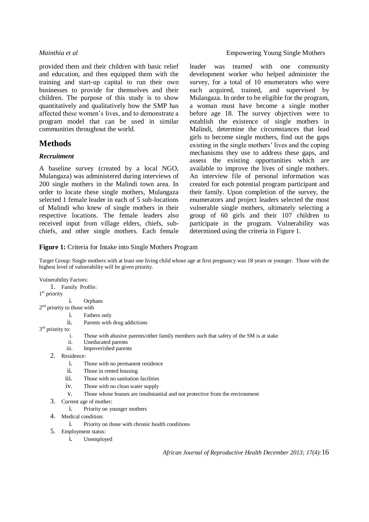provided them and their children with basic relief and education, and then equipped them with the training and start-up capital to run their own businesses to provide for themselves and their children. The purpose of this study is to show quantitatively and qualitatively how the SMP has affected these women's lives, and to demonstrate a program model that can be used in similar communities throughout the world.

# **Methods**

### *Recruitment*

A baseline survey (created by a local NGO, Mulangaza) was administered during interviews of 200 single mothers in the Malindi town area. In order to locate these single mothers, Mulangaza selected 1 female leader in each of 5 sub-locations of Malindi who knew of single mothers in their respective locations. The female leaders also received input from village elders, chiefs, subchiefs, and other single mothers. Each female leader was teamed with one community development worker who helped administer the survey, for a total of 10 enumerators who were each acquired, trained, and supervised by Mulangaza. In order to be eligible for the program, a woman must have become a single mother before age 18. The survey objectives were to establish the existence of single mothers in Malindi, determine the circumstances that lead girls to become single mothers, find out the gaps existing in the single mothers' lives and the coping mechanisms they use to address these gaps, and assess the existing opportunities which are available to improve the lives of single mothers. An interview file of personal information was created for each potential program participant and their family. Upon completion of the survey, the enumerators and project leaders selected the most vulnerable single mothers, ultimately selecting a group of 60 girls and their 107 children to participate in the program. Vulnerability was determined using the criteria in Figure 1.

### **Figure 1:** Criteria for Intake into Single Mothers Program

Target Group: Single mothers with at least one living child whose age at first pregnancy was 18 years or younger. Those with the highest level of vulnerability will be given priority.

Vulnerability Factors:

1. Family Profile:

1<sup>st</sup> priority

- i. Orphans
- 2<sup>nd</sup> priority to those with
	- i. Fathers only
	- ii. Parents with drug addictions
- 3<sup>rd</sup> priority to:
	- i. Those with abusive parents/other family members such that safety of the SM is at stake
	- ii. Uneducated parents
	- iii. Impoverished parents
	- 2. Residence:
		- i. Those with no permanent residence
		- ii. Those in rented housing
		- iii. Those with no sanitation facilities
		- iv. Those with no clean water supply
		- v. Those whose houses are insubstantial and not protective from the environment
	- 3. Current age of mother:
		- i. Priority on younger mothers
	- 4. Medical condition:
		- i. Priority on those with chronic health conditions
	- 5. Employment status:
		- i. Unemployed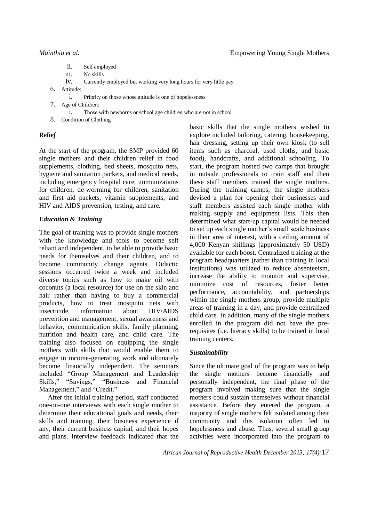- ii. Self employed
- iii. No skills
- iv. Currently employed but working very long hours for very little pay
- 6. Attitude:
	- i. Priority on those whose attitude is one of hopelessness
- 7. Age of Children:
	- i. Those with newborns or school age children who are not in school
- 8. Condition of Clothing

### *Relief*

At the start of the program, the SMP provided 60 single mothers and their children relief in food supplements, clothing, bed sheets, mosquito nets, hygiene and sanitation packets, and medical needs, including emergency hospital care, immunizations for children, de-worming for children, sanitation and first aid packets, vitamin supplements, and HIV and AIDS prevention, testing, and care.

### *Education & Training*

The goal of training was to provide single mothers with the knowledge and tools to become self reliant and independent, to be able to provide basic needs for themselves and their children, and to become community change agents. Didactic sessions occurred twice a week and included diverse topics such as how to make oil with coconuts (a local resource) for use on the skin and hair rather than having to buy a commercial products, how to treat mosquito nets with insecticide, information about HIV/AIDS prevention and management, sexual awareness and behavior, communication skills, family planning, nutrition and health care, and child care. The training also focused on equipping the single mothers with skills that would enable them to engage in income-generating work and ultimately become financially independent. The seminars included "Group Management and Leadership Skills," "Savings," "Business and Financial Management," and "Credit."

After the initial training period, staff conducted one-on-one interviews with each single mother to determine their educational goals and needs, their skills and training, their business experience if any, their current business capital, and their hopes and plans. Interview feedback indicated that the

basic skills that the single mothers wished to explore included tailoring, catering, housekeeping, hair dressing, setting up their own kiosk (to sell items such as charcoal, used cloths, and basic food), handcrafts, and additional schooling. To start, the program hosted two camps that brought in outside professionals to train staff and then these staff members trained the single mothers. During the training camps, the single mothers devised a plan for opening their businesses and staff members assisted each single mother with making supply and equipment lists. This then determined what start-up capital would be needed to set up each single mother's small scale business in their area of interest, with a ceiling amount of 4,000 Kenyan shillings (approximately 50 USD) available for each boost. Centralized training at the program headquarters (rather than training in local institutions) was utilized to reduce absenteeism, increase the ability to monitor and supervise, minimize cost of resources, foster better performance, accountability, and partnerships within the single mothers group, provide multiple areas of training in a day, and provide centralized child care. In addition, many of the single mothers enrolled in the program did not have the prerequisites (i.e. literacy skills) to be trained in local training centers.

### *Sustainability*

Since the ultimate goal of the program was to help the single mothers become financially and personally independent, the final phase of the program involved making sure that the single mothers could sustain themselves without financial assistance. Before they entered the program, a majority of single mothers felt isolated among their community and this isolation often led to hopelessness and abuse. Thus, several small group activities were incorporated into the program to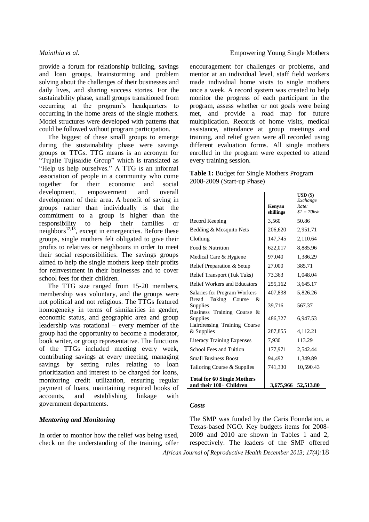provide a forum for relationship building, savings and loan groups, brainstorming and problem solving about the challenges of their businesses and daily lives, and sharing success stories. For the sustainability phase, small groups transitioned from occurring at the program's headquarters to occurring in the home areas of the single mothers. Model structures were developed with patterns that could be followed without program participation.

The biggest of these small groups to emerge during the sustainability phase were savings groups or TTGs. TTG means is an acronym for "Tujalie Tujisaidie Group" which is translated as "Help us help ourselves." A TTG is an informal association of people in a community who come together for their economic and social development, empowerment and overall development of their area. A benefit of saving in groups rather than individually is that the commitment to a group is higher than the responsibility to help their families or responsibility to help their families or neighbors<sup>12,13</sup>, except in emergencies. Before these groups, single mothers felt obligated to give their profits to relatives or neighbours in order to meet their social responsibilities. The savings groups aimed to help the single mothers keep their profits for reinvestment in their businesses and to cover school fees for their children.

The TTG size ranged from 15-20 members, membership was voluntary, and the groups were not political and not religious. The TTGs featured homogeneity in terms of similarities in gender, economic status, and geographic area and group leadership was rotational – every member of the group had the opportunity to become a moderator, book writer, or group representative. The functions of the TTGs included meeting every week, contributing savings at every meeting, managing savings by setting rules relating to loan prioritization and interest to be charged for loans, monitoring credit utilization, ensuring regular payment of loans, maintaining required books of accounts, and establishing linkage with government departments.

### *Mentoring and Monitoring*

In order to monitor how the relief was being used, check on the understanding of the training, offer

### *Mainthia et al.* Empowering Young Single Mothers

encouragement for challenges or problems, and mentor at an individual level, staff field workers made individual home visits to single mothers once a week. A record system was created to help monitor the progress of each participant in the program, assess whether or not goals were being met, and provide a road map for future multiplication. Records of home visits, medical assistance, attendance at group meetings and training, and relief given were all recorded using different evaluation forms. All single mothers enrolled in the program were expected to attend every training session.

|                            | <b>Table 1:</b> Budget for Single Mothers Program |
|----------------------------|---------------------------------------------------|
| 2008-2009 (Start-up Phase) |                                                   |

|                                                                          | Kenyan<br>shillings | $USD($ \$)<br>Exchange<br>Rate:<br>$$I = 70$ ksh |
|--------------------------------------------------------------------------|---------------------|--------------------------------------------------|
| Record Keeping                                                           | 3,560               | 50.86                                            |
| Bedding & Mosquito Nets                                                  | 206,620             | 2,951.71                                         |
| Clothing                                                                 | 147,745             | 2,110.64                                         |
| Food & Nutrition                                                         | 622,017             | 8,885.96                                         |
| Medical Care & Hygiene                                                   | 97,040              | 1,386.29                                         |
| Relief Preparation & Setup                                               | 27,000              | 385.71                                           |
| <b>Relief Transport (Tuk Tuks)</b>                                       | 73,363              | 1,048.04                                         |
| <b>Relief Workers and Educators</b>                                      | 255,162             | 3,645.17                                         |
| <b>Salaries for Program Workers</b>                                      | 407,838             | 5,826.26                                         |
| Bread<br>Baking Course<br>&<br>Supplies<br>Business Training Course<br>& | 39.716              | 567.37                                           |
| Supplies<br>Hairdressing Training Course                                 | 486,327             | 6,947.53                                         |
| & Supplies                                                               | 287,855             | 4,112.21                                         |
| <b>Literacy Training Expenses</b>                                        | 7,930               | 113.29                                           |
| School Fees and Tuition                                                  | 177,971             | 2,542.44                                         |
| <b>Small Business Boost</b>                                              | 94,492              | 1,349.89                                         |
| Tailoring Course & Supplies                                              | 741,330             | 10,590.43                                        |
| <b>Total for 60 Single Mothers</b><br>and their 100+ Children            | 3,675,966           | 52,513.80                                        |

### *Costs*

*African Journal of Reproductive Health December 2013; 17(4):*18 The SMP was funded by the Caris Foundation, a Texas-based NGO. Key budgets items for 2008- 2009 and 2010 are shown in Tables 1 and 2, respectively. The leaders of the SMP offered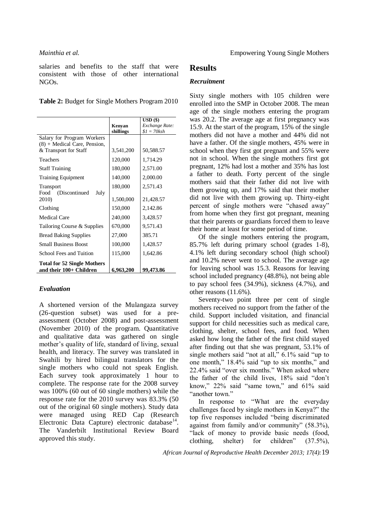salaries and benefits to the staff that were consistent with those of other international NGOs.

| Table 2: Budget for Single Mothers Program 2010 |  |  |
|-------------------------------------------------|--|--|
|                                                 |  |  |

|                                                               | Kenyan<br>shillings | $USD($ \$)<br>Exchange Rate:<br>$$I = 70$ ksh |
|---------------------------------------------------------------|---------------------|-----------------------------------------------|
| Salary for Program Workers                                    |                     |                                               |
| $(8)$ + Medical Care, Pension,<br>& Transport for Staff       | 3,541,200           | 50,588.57                                     |
| Teachers                                                      | 120,000             | 1,714.29                                      |
| <b>Staff Training</b>                                         | 180,000             | 2,571.00                                      |
| <b>Training Equipment</b>                                     | 140,000             | 2,000.00                                      |
| Transport                                                     | 180,000             | 2,571.43                                      |
| Food<br>(Discontinued<br>July<br>2010)                        | 1,500,000           | 21,428.57                                     |
| Clothing                                                      | 150,000             | 2,142.86                                      |
| <b>Medical Care</b>                                           | 240,000             | 3,428.57                                      |
| Tailoring Course & Supplies                                   | 670,000             | 9,571.43                                      |
| <b>Bread Baking Supplies</b>                                  | 27,000              | 385.71                                        |
| <b>Small Business Boost</b>                                   | 100,000             | 1,428.57                                      |
| School Fees and Tuition                                       | 115,000             | 1,642.86                                      |
| <b>Total for 52 Single Mothers</b><br>and their 100+ Children | 6,963,200           | 99,473.86                                     |

# *Evaluation*

A shortened version of the Mulangaza survey (26-question subset) was used for a preassessment (October 2008) and post-assessment (November 2010) of the program. Quantitative and qualitative data was gathered on single mother's quality of life, standard of living, sexual health, and literacy. The survey was translated in Swahili by hired bilingual translators for the single mothers who could not speak English. Each survey took approximately 1 hour to complete. The response rate for the 2008 survey was 100% (60 out of 60 single mothers) while the response rate for the 2010 survey was 83.3% (50 out of the original 60 single mothers). Study data were managed using RED Cap (Research Electronic Data Capture) electronic database $^{14}$ . The Vanderbilt Institutional Review Board approved this study.

# **Results**

### *Recruitment*

Sixty single mothers with 105 children were enrolled into the SMP in October 2008. The mean age of the single mothers entering the program was 20.2. The average age at first pregnancy was 15.9. At the start of the program, 15% of the single mothers did not have a mother and 44% did not have a father. Of the single mothers, 45% were in school when they first got pregnant and 55% were not in school. When the single mothers first got pregnant, 12% had lost a mother and 35% has lost a father to death. Forty percent of the single mothers said that their father did not live with them growing up, and 17% said that their mother did not live with them growing up. Thirty-eight percent of single mothers were "chased away" from home when they first got pregnant, meaning that their parents or guardians forced them to leave their home at least for some period of time.

Of the single mothers entering the program, 85.7% left during primary school (grades 1-8), 4.1% left during secondary school (high school) and 10.2% never went to school. The average age for leaving school was 15.3. Reasons for leaving school included pregnancy (48.8%), not being able to pay school fees (34.9%), sickness (4.7%), and other reasons (11.6%).

Seventy-two point three per cent of single mothers received no support from the father of the child. Support included visitation, and financial support for child necessities such as medical care, clothing, shelter, school fees, and food. When asked how long the father of the first child stayed after finding out that she was pregnant, 53.1% of single mothers said "not at all," 6.1% said "up to one month," 18.4% said "up to six months," and 22.4% said "over six months." When asked where the father of the child lives, 18% said "don't know," 22% said "same town," and 61% said "another town."

In response to "What are the everyday challenges faced by single mothers in Kenya?" the top five responses included "being discriminated against from family and/or community" (58.3%), "lack of money to provide basic needs (food, clothing, shelter) for children" (37.5%),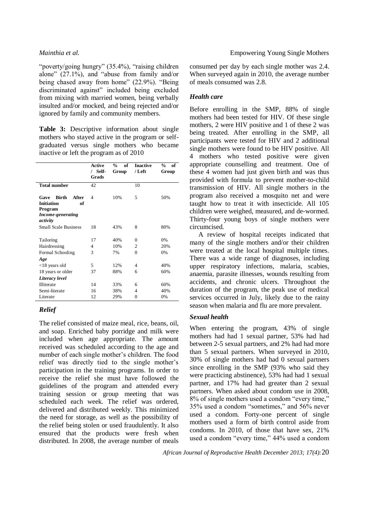"poverty/going hungry" (35.4%), "raising children alone" (27.1%), and "abuse from family and/or being chased away from home" (22.9%). "Being discriminated against" included being excluded from mixing with married women, being verbally insulted and/or mocked, and being rejected and/or ignored by family and community members.

**Table 3:** Descriptive information about single mothers who stayed active in the program or selfgraduated versus single mothers who became inactive or left the program as of 2010

|                                                                                          | <b>Active</b><br>/ Self-<br>Grads | of<br>$\frac{0}{0}$<br>Group | <b>Inactive</b><br>/Left    | $\frac{0}{0}$<br>of<br>Group |
|------------------------------------------------------------------------------------------|-----------------------------------|------------------------------|-----------------------------|------------------------------|
| <b>Total number</b>                                                                      | 42                                |                              | 10                          |                              |
| <b>Birth</b><br>After<br>Gave<br><b>Initiation</b><br>of<br>Program<br>Income-generating | 4                                 | 10%                          | 5                           | 50%                          |
| activity<br><b>Small Scale Business</b>                                                  | 18                                | 43%                          | 8                           | 80%                          |
|                                                                                          |                                   |                              |                             |                              |
| Tailoring                                                                                | 17                                | 40%                          | $\Omega$                    | 0%                           |
| Hairdressing                                                                             | 4                                 | 10%                          | $\mathcal{D}_{\mathcal{L}}$ | 20%                          |
| Formal Schooling                                                                         | 3                                 | 7%                           | $\Omega$                    | 0%                           |
| Age                                                                                      |                                   |                              |                             |                              |
| $<$ 18 years old                                                                         | 5                                 | 12%                          | 4                           | 40%                          |
| 18 years or older                                                                        | 37                                | 88%                          | 6                           | 60%                          |
| Literacy level                                                                           |                                   |                              |                             |                              |
| <b>Illiterate</b>                                                                        | 14                                | 33%                          | 6                           | 60%                          |
| Semi-literate                                                                            | 16                                | 38%                          | 4                           | 40%                          |
| Literate                                                                                 | 12                                | 29%                          | 0                           | 0%                           |

#### *Relief*

The relief consisted of maize meal, rice, beans, oil, and soap. Enriched baby porridge and milk were included when age appropriate. The amount received was scheduled according to the age and number of each single mother's children. The food relief was directly tied to the single mother's participation in the training programs. In order to receive the relief she must have followed the guidelines of the program and attended every training session or group meeting that was scheduled each week. The relief was ordered, delivered and distributed weekly. This minimized the need for storage, as well as the possibility of the relief being stolen or used fraudulently. It also ensured that the products were fresh when distributed. In 2008, the average number of meals

consumed per day by each single mother was 2.4. When surveyed again in 2010, the average number of meals consumed was 2.8.

### *Health care*

Before enrolling in the SMP, 88% of single mothers had been tested for HIV. Of these single mothers, 2 were HIV positive and 1 of these 2 was being treated. After enrolling in the SMP, all participants were tested for HIV and 2 additional single mothers were found to be HIV positive. All 4 mothers who tested positive were given appropriate counselling and treatment. One of these 4 women had just given birth and was thus provided with formula to prevent mother-to-child transmission of HIV. All single mothers in the program also received a mosquito net and were taught how to treat it with insecticide. All 105 children were weighed, measured, and de-wormed. Thirty-four young boys of single mothers were circumcised.

A review of hospital receipts indicated that many of the single mothers and/or their children were treated at the local hospital multiple times. There was a wide range of diagnoses, including upper respiratory infections, malaria, scabies, anaemia, parasite illnesses, wounds resulting from accidents, and chronic ulcers. Throughout the duration of the program, the peak use of medical services occurred in July, likely due to the rainy season when malaria and flu are more prevalent.

### *Sexual health*

When entering the program, 43% of single mothers had had 1 sexual partner, 53% had had between 2-5 sexual partners, and 2% had had more than 5 sexual partners. When surveyed in 2010, 30% of single mothers had had 0 sexual partners since enrolling in the SMP (93% who said they were practicing abstinence), 53% had had 1 sexual partner, and 17% had had greater than 2 sexual partners. When asked about condom use in 2008, 8% of single mothers used a condom "every time," 35% used a condom "sometimes," and 56% never used a condom. Forty-one percent of single mothers used a form of birth control aside from condoms. In 2010, of those that have sex, 21% used a condom "every time," 44% used a condom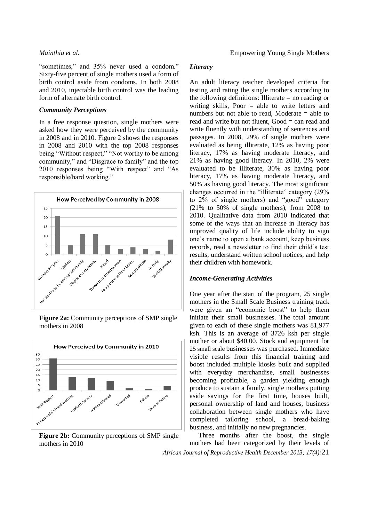"sometimes," and 35% never used a condom." Sixty-five percent of single mothers used a form of birth control aside from condoms. In both 2008 and 2010, injectable birth control was the leading form of alternate birth control.

#### *Community Perceptions*

In a free response question, single mothers were asked how they were perceived by the community in 2008 and in 2010. Figure 2 shows the responses in 2008 and 2010 with the top 2008 responses being "Without respect," "Not worthy to be among community," and "Disgrace to family" and the top 2010 responses being "With respect" and "As responsible/hard working."



**Figure 2a:** Community perceptions of SMP single mothers in 2008



**Figure 2b:** Community perceptions of SMP single mothers in 2010

#### *Literacy*

An adult literacy teacher developed criteria for testing and rating the single mothers according to the following definitions: Illiterate = no reading or writing skills, Poor = able to write letters and numbers but not able to read. Moderate  $=$  able to read and write but not fluent,  $Good = can read and$ write fluently with understanding of sentences and passages. In 2008, 29% of single mothers were evaluated as being illiterate, 12% as having poor literacy, 17% as having moderate literacy, and 21% as having good literacy. In 2010, 2% were evaluated to be illiterate, 30% as having poor literacy, 17% as having moderate literacy, and 50% as having good literacy. The most significant changes occurred in the "illiterate" category (29% to 2% of single mothers) and "good" category (21% to 50% of single mothers), from 2008 to 2010. Qualitative data from 2010 indicated that some of the ways that an increase in literacy has improved quality of life include ability to sign one's name to open a bank account, keep business records, read a newsletter to find their child's test results, understand written school notices, and help their children with homework.

#### *Income-Generating Activities*

One year after the start of the program, 25 single mothers in the Small Scale Business training track were given an "economic boost" to help them initiate their small businesses. The total amount given to each of these single mothers was 81,977 ksh. This is an average of 3726 ksh per single mother or about \$40.00. Stock and equipment for 25 small scale businesses was purchased. Immediate visible results from this financial training and boost included multiple kiosks built and supplied with everyday merchandise, small businesses becoming profitable, a garden yielding enough produce to sustain a family, single mothers putting aside savings for the first time, houses built, personal ownership of land and houses, business collaboration between single mothers who have completed tailoring school, a bread-baking business, and initially no new pregnancies.

*African Journal of Reproductive Health December 2013; 17(4):*21 Three months after the boost, the single mothers had been categorized by their levels of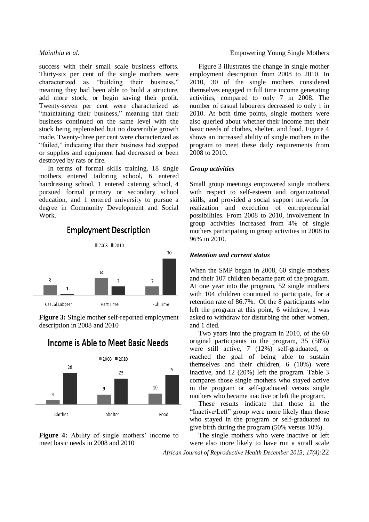success with their small scale business efforts. Thirty-six per cent of the single mothers were characterized as "building their business," meaning they had been able to build a structure, add more stock, or begin saving their profit. Twenty-seven per cent were characterized as "maintaining their business," meaning that their business continued on the same level with the stock being replenished but no discernible growth made. Twenty-three per cent were characterized as "failed," indicating that their business had stopped or supplies and equipment had decreased or been destroyed by rats or fire.

In terms of formal skills training, 18 single mothers entered tailoring school, 6 entered hairdressing school, 1 entered catering school, 4 pursued formal primary or secondary school education, and 1 entered university to pursue a degree in Community Development and Social Work.

# **Employment Description**



**Figure 3:** Single mother self-reported employment description in 2008 and 2010



Income is Able to Meet Basic Needs

**Figure 4:** Ability of single mothers' income to meet basic needs in 2008 and 2010

#### *Mainthia et al.* Empowering Young Single Mothers

Figure 3 illustrates the change in single mother employment description from 2008 to 2010. In 2010, 30 of the single mothers considered themselves engaged in full time income generating activities, compared to only 7 in 2008. The number of casual labourers decreased to only 1 in 2010. At both time points, single mothers were also queried about whether their income met their basic needs of clothes, shelter, and food. Figure 4 shows an increased ability of single mothers in the program to meet these daily requirements from 2008 to 2010.

#### *Group activities*

Small group meetings empowered single mothers with respect to self-esteem and organizational skills, and provided a social support network for realization and execution of entrepreneurial possibilities. From 2008 to 2010, involvement in group activities increased from 4% of single mothers participating in group activities in 2008 to 96% in 2010.

### *Retention and current status*

When the SMP began in 2008, 60 single mothers and their 107 children became part of the program. At one year into the program, 52 single mothers with 104 children continued to participate, for a retention rate of 86.7%. Of the 8 participants who left the program at this point, 6 withdrew, 1 was asked to withdraw for disturbing the other women, and 1 died.

Two years into the program in 2010, of the 60 original participants in the program, 35 (58%) were still active, 7 (12%) self-graduated, or reached the goal of being able to sustain themselves and their children, 6 (10%) were inactive, and 12 (20%) left the program. Table 3 compares those single mothers who stayed active in the program or self-graduated versus single mothers who became inactive or left the program.

These results indicate that those in the "Inactive/Left" group were more likely than those who stayed in the program or self-graduated to give birth during the program (50% versus 10%).

The single mothers who were inactive or left were also more likely to have run a small scale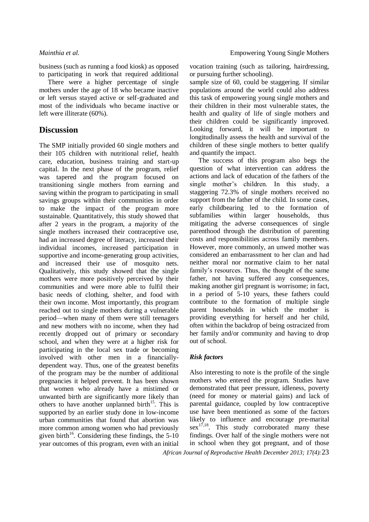There were a higher percentage of single mothers under the age of 18 who became inactive or left versus stayed active or self-graduated and most of the individuals who became inactive or left were illiterate (60%).

# **Discussion**

The SMP initially provided 60 single mothers and their 105 children with nutritional relief, health care, education, business training and start-up capital. In the next phase of the program, relief was tapered and the program focused on transitioning single mothers from earning and saving within the program to participating in small savings groups within their communities in order to make the impact of the program more sustainable. Quantitatively, this study showed that after 2 years in the program, a majority of the single mothers increased their contraceptive use, had an increased degree of literacy, increased their individual incomes, increased participation in supportive and income-generating group activities, and increased their use of mosquito nets. Qualitatively, this study showed that the single mothers were more positively perceived by their communities and were more able to fulfil their basic needs of clothing, shelter, and food with their own income. Most importantly, this program reached out to single mothers during a vulnerable period—when many of them were still teenagers and new mothers with no income, when they had recently dropped out of primary or secondary school, and when they were at a higher risk for participating in the local sex trade or becoming involved with other men in a financiallydependent way. Thus, one of the greatest benefits of the program may be the number of additional pregnancies it helped prevent. It has been shown that women who already have a mistimed or unwanted birth are significantly more likely than others to have another unplanned birth<sup>15</sup>. This is supported by an earlier study done in low-income urban communities that found that abortion was more common among women who had previously given birth<sup>16</sup>. Considering these findings, the  $5-10$ year outcomes of this program, even with an initial

vocation training (such as tailoring, hairdressing, or pursuing further schooling).

sample size of 60, could be staggering. If similar populations around the world could also address this task of empowering young single mothers and their children in their most vulnerable states, the health and quality of life of single mothers and their children could be significantly improved. Looking forward, it will be important to longitudinally assess the health and survival of the children of these single mothers to better qualify and quantify the impact.

The success of this program also begs the question of what intervention can address the actions and lack of education of the fathers of the single mother's children. In this study, a staggering 72.3% of single mothers received no support from the father of the child. In some cases, early childbearing led to the formation of subfamilies within larger households, thus mitigating the adverse consequences of single parenthood through the distribution of parenting costs and responsibilities across family members. However, more commonly, an unwed mother was considered an embarrassment to her clan and had neither moral nor normative claim to her natal family's resources. Thus, the thought of the same father, not having suffered any consequences, making another girl pregnant is worrisome; in fact, in a period of 5-10 years, these fathers could contribute to the formation of multiple single parent households in which the mother is providing everything for herself and her child, often within the backdrop of being ostracized from her family and/or community and having to drop out of school.

### *Risk factors*

Also interesting to note is the profile of the single mothers who entered the program. Studies have demonstrated that peer pressure, idleness, poverty (need for money or material gains) and lack of parental guidance, coupled by low contraceptive use have been mentioned as some of the factors likely to influence and encourage pre-marital  $sex^{17,18}$ . This study corroborated many these findings. Over half of the single mothers were not in school when they got pregnant, and of those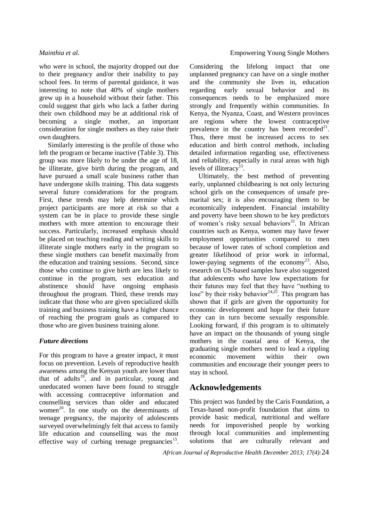who were in school, the majority dropped out due to their pregnancy and/or their inability to pay school fees. In terms of parental guidance, it was interesting to note that 40% of single mothers grew up in a household without their father. This could suggest that girls who lack a father during their own childhood may be at additional risk of becoming a single mother, an important consideration for single mothers as they raise their own daughters.

Similarly interesting is the profile of those who left the program or became inactive (Table 3). This group was more likely to be under the age of 18, be illiterate, give birth during the program, and have pursued a small scale business rather than have undergone skills training. This data suggests several future considerations for the program. First, these trends may help determine which project participants are more at risk so that a system can be in place to provide these single mothers with more attention to encourage their success. Particularly, increased emphasis should be placed on teaching reading and writing skills to illiterate single mothers early in the program so these single mothers can benefit maximally from the education and training sessions. Second, since those who continue to give birth are less likely to continue in the program, sex education and abstinence should have ongoing emphasis throughout the program. Third, these trends may indicate that those who are given specialized skills training and business training have a higher chance of reaching the program goals as compared to those who are given business training alone.

# *Future directions*

For this program to have a greater impact, it must focus on prevention. Levels of reproductive health awareness among the Kenyan youth are lower than that of adults<sup>19</sup>, and in particular, young and uneducated women have been found to struggle with accessing contraceptive information and counselling services than older and educated women<sup>20</sup>. In one study on the determinants of teenage pregnancy, the majority of adolescents surveyed overwhelmingly felt that access to family life education and counselling was the most effective way of curbing teenage pregnancies<sup>15</sup>. Considering the lifelong impact that one unplanned pregnancy can have on a single mother and the community she lives in, education regarding early sexual behavior and its consequences needs to be emphasized more strongly and frequently within communities. In Kenya, the Nyanza, Coast, and Western provinces are regions where the lowest contraceptive prevalence in the country has been recorded $21$ . Thus, there must be increased access to sex education and birth control methods, including detailed information regarding use, effectiveness and reliability, especially in rural areas with high levels of illiteracy<sup>15</sup>.

Ultimately, the best method of preventing early, unplanned childbearing is not only lecturing school girls on the consequences of unsafe premarital sex; it is also encouraging them to be economically independent. Financial instability and poverty have been shown to be key predictors of women's risky sexual behaviors<sup>22</sup>. In African countries such as Kenya, women may have fewer employment opportunities compared to men because of lower rates of school completion and greater likelihood of prior work in informal, lower-paying segments of the economy<sup>23</sup>. Also, research on US-based samples have also suggested that adolescents who have low expectations for their futures may feel that they have "nothing to lose" by their risky behavior $24.25$ . This program has shown that if girls are given the opportunity for economic development and hope for their future they can in turn become sexually responsible. Looking forward, if this program is to ultimately have an impact on the thousands of young single mothers in the coastal area of Kenya, the graduating single mothers need to lead a rippling economic movement within their own communities and encourage their younger peers to stay in school.

# **Acknowledgements**

This project was funded by the Caris Foundation, a Texas-based non-profit foundation that aims to provide basic medical, nutritional and welfare needs for impoverished people by working through local communities and implementing solutions that are culturally relevant and